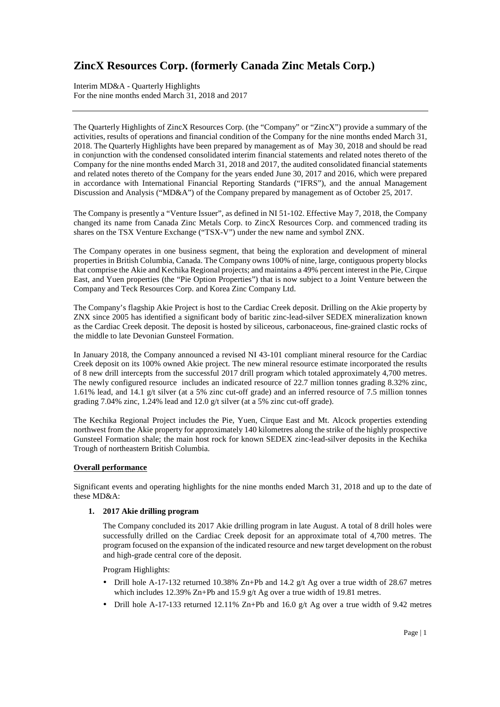Interim MD&A - Quarterly Highlights For the nine months ended March 31, 2018 and 2017

The Quarterly Highlights of ZincX Resources Corp. (the "Company" or "ZincX") provide a summary of the activities, results of operations and financial condition of the Company for the nine months ended March 31, 2018. The Quarterly Highlights have been prepared by management as of May 30, 2018 and should be read in conjunction with the condensed consolidated interim financial statements and related notes thereto of the Company for the nine months ended March 31, 2018 and 2017, the audited consolidated financial statements and related notes thereto of the Company for the years ended June 30, 2017 and 2016, which were prepared in accordance with International Financial Reporting Standards ("IFRS"), and the annual Management Discussion and Analysis ("MD&A") of the Company prepared by management as of October 25, 2017.

The Company is presently a "Venture Issuer", as defined in NI 51-102. Effective May 7, 2018, the Company changed its name from Canada Zinc Metals Corp. to ZincX Resources Corp. and commenced trading its shares on the TSX Venture Exchange ("TSX-V") under the new name and symbol ZNX.

The Company operates in one business segment, that being the exploration and development of mineral properties in British Columbia, Canada. The Company owns 100% of nine, large, contiguous property blocks that comprise the Akie and Kechika Regional projects; and maintains a 49% percent interest in the Pie, Cirque East, and Yuen properties (the "Pie Option Properties") that is now subject to a Joint Venture between the Company and Teck Resources Corp. and Korea Zinc Company Ltd.

The Company's flagship Akie Project is host to the Cardiac Creek deposit. Drilling on the Akie property by ZNX since 2005 has identified a significant body of baritic zinc-lead-silver SEDEX mineralization known as the Cardiac Creek deposit. The deposit is hosted by siliceous, carbonaceous, fine-grained clastic rocks of the middle to late Devonian Gunsteel Formation.

In January 2018, the Company announced a revised NI 43-101 compliant mineral resource for the Cardiac Creek deposit on its 100% owned Akie project. The new mineral resource estimate incorporated the results of 8 new drill intercepts from the successful 2017 drill program which totaled approximately 4,700 metres. The newly configured resource includes an indicated resource of 22.7 million tonnes grading 8.32% zinc, 1.61% lead, and 14.1 g/t silver (at a 5% zinc cut-off grade) and an inferred resource of 7.5 million tonnes grading 7.04% zinc, 1.24% lead and 12.0 g/t silver (at a 5% zinc cut-off grade).

The Kechika Regional Project includes the Pie, Yuen, Cirque East and Mt. Alcock properties extending northwest from the Akie property for approximately 140 kilometres along the strike of the highly prospective Gunsteel Formation shale; the main host rock for known SEDEX zinc-lead-silver deposits in the Kechika Trough of northeastern British Columbia.

### **Overall performance**

Significant events and operating highlights for the nine months ended March 31, 2018 and up to the date of these MD&A:

**1. 2017 Akie drilling program** 

The Company concluded its 2017 Akie drilling program in late August. A total of 8 drill holes were successfully drilled on the Cardiac Creek deposit for an approximate total of 4,700 metres. The program focused on the expansion of the indicated resource and new target development on the robust and high-grade central core of the deposit.

Program Highlights:

- Drill hole A-17-132 returned 10.38% Zn+Pb and 14.2  $g/t$  Ag over a true width of 28.67 metres which includes 12.39% Zn+Pb and 15.9 g/t Ag over a true width of 19.81 metres.
- Drill hole A-17-133 returned 12.11% Zn+Pb and 16.0 g/t Ag over a true width of 9.42 metres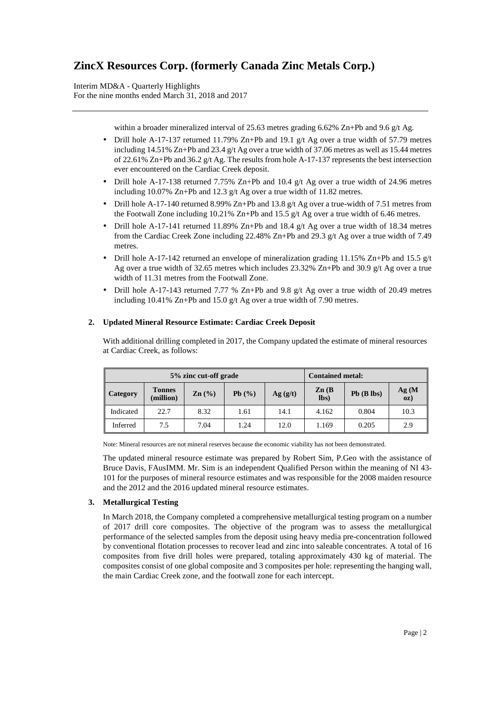Interim MD&A - Quarterly Highlights For the nine months ended March 31, 2018 and 2017

within a broader mineralized interval of 25.63 metres grading 6.62% Zn+Pb and 9.6 g/t Ag.

- Drill hole A-17-137 returned 11.79% Zn+Pb and 19.1 g/t Ag over a true width of 57.79 metres including 14.51% Zn+Pb and 23.4 g/t Ag over a true width of 37.06 metres as well as 15.44 metres of 22.61% Zn+Pb and 36.2 g/t Ag. The results from hole A-17-137 represents the best intersection ever encountered on the Cardiac Creek deposit.
- Drill hole A-17-138 returned 7.75% Zn+Pb and 10.4 g/t Ag over a true width of 24.96 metres including 10.07% Zn+Pb and 12.3 g/t Ag over a true width of 11.82 metres.
- Drill hole A-17-140 returned 8.99% Zn+Pb and 13.8  $g/t$  Ag over a true-width of 7.51 metres from the Footwall Zone including 10.21% Zn+Pb and 15.5 g/t Ag over a true width of 6.46 metres.
- Drill hole A-17-141 returned 11.89% Zn+Pb and 18.4 g/t Ag over a true width of 18.34 metres from the Cardiac Creek Zone including 22.48% Zn+Pb and 29.3 g/t Ag over a true width of 7.49 metres.
- Drill hole A-17-142 returned an envelope of mineralization grading 11.15% Zn+Pb and 15.5 g/t Ag over a true width of 32.65 metres which includes 23.32% Zn+Pb and 30.9  $g/t$  Ag over a true width of 11.31 metres from the Footwall Zone.
- Drill hole A-17-143 returned 7.77 % Zn+Pb and 9.8 g/t Ag over a true width of 20.49 metres including 10.41% Zn+Pb and 15.0 g/t Ag over a true width of 7.90 metres.

### **2. Updated Mineral Resource Estimate: Cardiac Creek Deposit**

With additional drilling completed in 2017, the Company updated the estimate of mineral resources at Cardiac Creek, as follows:

| 5% zinc cut-off grade |                            |                   |       | <b>Contained metal:</b> |                           |                 |              |
|-----------------------|----------------------------|-------------------|-------|-------------------------|---------------------------|-----------------|--------------|
| Category              | <b>Tonnes</b><br>(million) | $\mathbf{Zn}$ (%) | Pb(%) | Ag(g/t)                 | $\mathbf{Zn}$ (B)<br>lbs) | $Pb$ ( $B$ lbs) | Ag(M)<br>oz) |
| Indicated             | 22.7                       | 8.32              | 1.61  | 14.1                    | 4.162                     | 0.804           | 10.3         |
| Inferred              | 7.5                        | 7.04              | 1.24  | 12.0                    | 1.169                     | 0.205           | 2.9          |

Note: Mineral resources are not mineral reserves because the economic viability has not been demonstrated.

The updated mineral resource estimate was prepared by Robert Sim, P.Geo with the assistance of Bruce Davis, FAusIMM. Mr. Sim is an independent Qualified Person within the meaning of NI 43- 101 for the purposes of mineral resource estimates and was responsible for the 2008 maiden resource and the 2012 and the 2016 updated mineral resource estimates.

## **3. Metallurgical Testing**

In March 2018, the Company completed a comprehensive metallurgical testing program on a number of 2017 drill core composites. The objective of the program was to assess the metallurgical performance of the selected samples from the deposit using heavy media pre-concentration followed by conventional flotation processes to recover lead and zinc into saleable concentrates. A total of 16 composites from five drill holes were prepared, totaling approximately 430 kg of material. The composites consist of one global composite and 3 composites per hole: representing the hanging wall, the main Cardiac Creek zone, and the footwall zone for each intercept.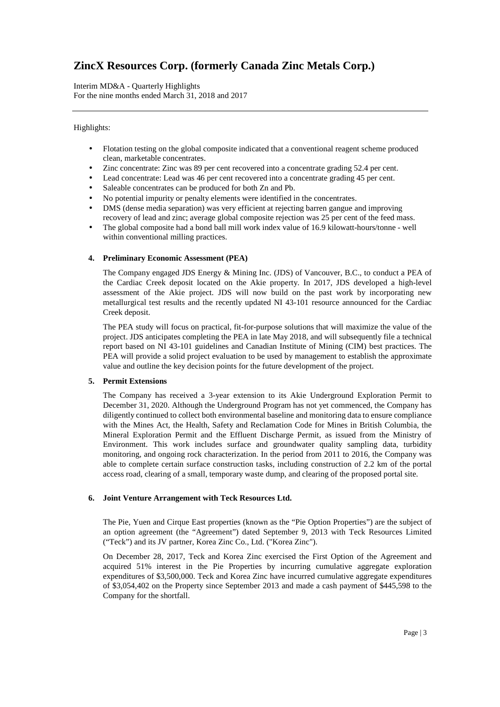Interim MD&A - Quarterly Highlights For the nine months ended March 31, 2018 and 2017

### Highlights:

- Flotation testing on the global composite indicated that a conventional reagent scheme produced clean, marketable concentrates.
- Zinc concentrate: Zinc was 89 per cent recovered into a concentrate grading 52.4 per cent.
- Lead concentrate: Lead was 46 per cent recovered into a concentrate grading 45 per cent.
- Saleable concentrates can be produced for both Zn and Pb.
- No potential impurity or penalty elements were identified in the concentrates.
- DMS (dense media separation) was very efficient at rejecting barren gangue and improving recovery of lead and zinc; average global composite rejection was 25 per cent of the feed mass.
- The global composite had a bond ball mill work index value of 16.9 kilowatt-hours/tonne well within conventional milling practices.

## **4. Preliminary Economic Assessment (PEA)**

The Company engaged JDS Energy & Mining Inc. (JDS) of Vancouver, B.C., to conduct a PEA of the Cardiac Creek deposit located on the Akie property. In 2017, JDS developed a high-level assessment of the Akie project. JDS will now build on the past work by incorporating new metallurgical test results and the recently updated NI 43-101 resource announced for the Cardiac Creek deposit.

The PEA study will focus on practical, fit-for-purpose solutions that will maximize the value of the project. JDS anticipates completing the PEA in late May 2018, and will subsequently file a technical report based on NI 43-101 guidelines and Canadian Institute of Mining (CIM) best practices. The PEA will provide a solid project evaluation to be used by management to establish the approximate value and outline the key decision points for the future development of the project.

### **5. Permit Extensions**

The Company has received a 3-year extension to its Akie Underground Exploration Permit to December 31, 2020. Although the Underground Program has not yet commenced, the Company has diligently continued to collect both environmental baseline and monitoring data to ensure compliance with the Mines Act, the Health, Safety and Reclamation Code for Mines in British Columbia, the Mineral Exploration Permit and the Effluent Discharge Permit, as issued from the Ministry of Environment. This work includes surface and groundwater quality sampling data, turbidity monitoring, and ongoing rock characterization. In the period from 2011 to 2016, the Company was able to complete certain surface construction tasks, including construction of 2.2 km of the portal access road, clearing of a small, temporary waste dump, and clearing of the proposed portal site.

## **6. Joint Venture Arrangement with Teck Resources Ltd.**

The Pie, Yuen and Cirque East properties (known as the "Pie Option Properties") are the subject of an option agreement (the "Agreement") dated September 9, 2013 with Teck Resources Limited ("Teck") and its JV partner, Korea Zinc Co., Ltd. ("Korea Zinc").

On December 28, 2017, Teck and Korea Zinc exercised the First Option of the Agreement and acquired 51% interest in the Pie Properties by incurring cumulative aggregate exploration expenditures of \$3,500,000. Teck and Korea Zinc have incurred cumulative aggregate expenditures of \$3,054,402 on the Property since September 2013 and made a cash payment of \$445,598 to the Company for the shortfall.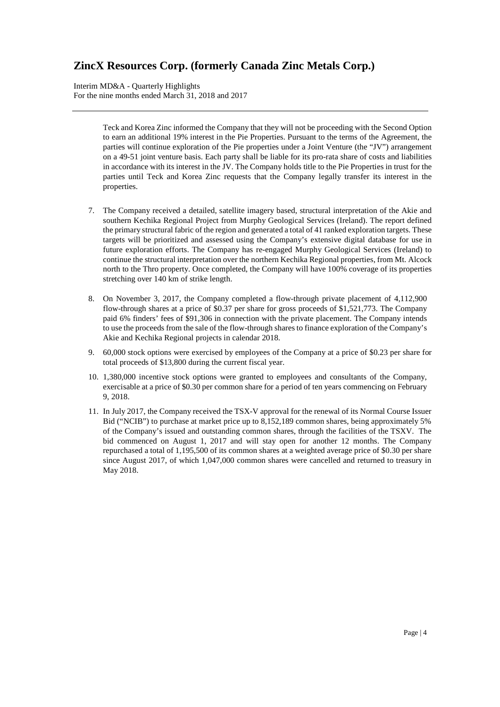Interim MD&A - Quarterly Highlights For the nine months ended March 31, 2018 and 2017

> Teck and Korea Zinc informed the Company that they will not be proceeding with the Second Option to earn an additional 19% interest in the Pie Properties. Pursuant to the terms of the Agreement, the parties will continue exploration of the Pie properties under a Joint Venture (the "JV") arrangement on a 49-51 joint venture basis. Each party shall be liable for its pro-rata share of costs and liabilities in accordance with its interest in the JV. The Company holds title to the Pie Properties in trust for the parties until Teck and Korea Zinc requests that the Company legally transfer its interest in the properties.

- 7. The Company received a detailed, satellite imagery based, structural interpretation of the Akie and southern Kechika Regional Project from Murphy Geological Services (Ireland). The report defined the primary structural fabric of the region and generated a total of 41 ranked exploration targets. These targets will be prioritized and assessed using the Company's extensive digital database for use in future exploration efforts. The Company has re-engaged Murphy Geological Services (Ireland) to continue the structural interpretation over the northern Kechika Regional properties, from Mt. Alcock north to the Thro property. Once completed, the Company will have 100% coverage of its properties stretching over 140 km of strike length.
- 8. On November 3, 2017, the Company completed a flow-through private placement of 4,112,900 flow-through shares at a price of \$0.37 per share for gross proceeds of \$1,521,773. The Company paid 6% finders' fees of \$91,306 in connection with the private placement. The Company intends to use the proceeds from the sale of the flow-through shares to finance exploration of the Company's Akie and Kechika Regional projects in calendar 2018.
- 9. 60,000 stock options were exercised by employees of the Company at a price of \$0.23 per share for total proceeds of \$13,800 during the current fiscal year.
- 10. 1,380,000 incentive stock options were granted to employees and consultants of the Company, exercisable at a price of \$0.30 per common share for a period of ten years commencing on February 9, 2018.
- 11. In July 2017, the Company received the TSX-V approval for the renewal of its Normal Course Issuer Bid ("NCIB") to purchase at market price up to 8,152,189 common shares, being approximately 5% of the Company's issued and outstanding common shares, through the facilities of the TSXV. The bid commenced on August 1, 2017 and will stay open for another 12 months. The Company repurchased a total of 1,195,500 of its common shares at a weighted average price of \$0.30 per share since August 2017, of which 1,047,000 common shares were cancelled and returned to treasury in May 2018.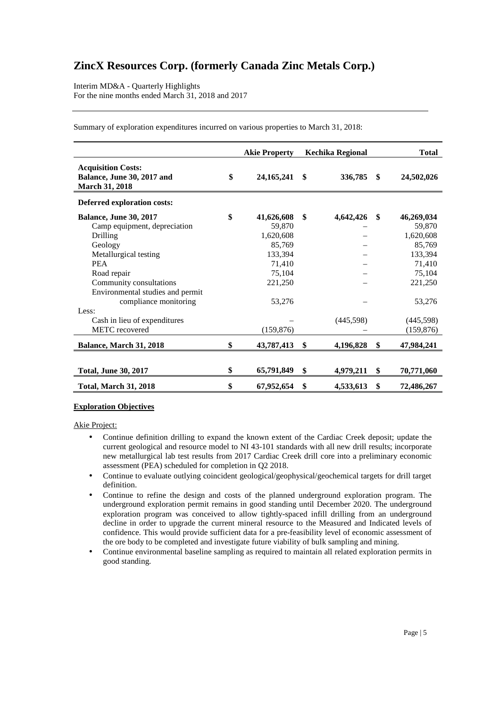Interim MD&A - Quarterly Highlights For the nine months ended March 31, 2018 and 2017

|                                                                                                                                                                                                                                    | <b>Akie Property</b>                                                                                  |     | Kechika Regional |     | <b>Total</b>                                                                                    |
|------------------------------------------------------------------------------------------------------------------------------------------------------------------------------------------------------------------------------------|-------------------------------------------------------------------------------------------------------|-----|------------------|-----|-------------------------------------------------------------------------------------------------|
| <b>Acquisition Costs:</b><br>Balance, June 30, 2017 and<br>March 31, 2018                                                                                                                                                          | \$<br>24, 165, 241                                                                                    | -SS | 336,785          | \$  | 24,502,026                                                                                      |
| Deferred exploration costs:                                                                                                                                                                                                        |                                                                                                       |     |                  |     |                                                                                                 |
| <b>Balance, June 30, 2017</b><br>Camp equipment, depreciation<br>Drilling<br>Geology<br>Metallurgical testing<br><b>PEA</b><br>Road repair<br>Community consultations<br>Environmental studies and permit<br>compliance monitoring | \$<br>41,626,608<br>59,870<br>1,620,608<br>85,769<br>133,394<br>71,410<br>75,104<br>221,250<br>53,276 | \$  | 4,642,426        | \$  | 46,269,034<br>59,870<br>1,620,608<br>85,769<br>133,394<br>71,410<br>75,104<br>221,250<br>53,276 |
| Less:<br>Cash in lieu of expenditures<br>METC recovered                                                                                                                                                                            | (159, 876)                                                                                            |     | (445,598)        |     | (445, 598)<br>(159, 876)                                                                        |
| Balance, March 31, 2018                                                                                                                                                                                                            | \$<br>43,787,413                                                                                      | SS- | 4,196,828        | \$  | 47,984,241                                                                                      |
| <b>Total, June 30, 2017</b>                                                                                                                                                                                                        | \$<br>65,791,849                                                                                      | \$  | 4,979,211        | SS. | 70,771,060                                                                                      |
| <b>Total, March 31, 2018</b>                                                                                                                                                                                                       | \$<br>67,952,654                                                                                      | \$  | 4,533,613        | \$  | 72,486,267                                                                                      |

Summary of exploration expenditures incurred on various properties to March 31, 2018:

### **Exploration Objectives**

Akie Project:

- Continue definition drilling to expand the known extent of the Cardiac Creek deposit; update the current geological and resource model to NI 43-101 standards with all new drill results; incorporate new metallurgical lab test results from 2017 Cardiac Creek drill core into a preliminary economic assessment (PEA) scheduled for completion in Q2 2018.
- Continue to evaluate outlying coincident geological/geophysical/geochemical targets for drill target definition.
- Continue to refine the design and costs of the planned underground exploration program. The underground exploration permit remains in good standing until December 2020. The underground exploration program was conceived to allow tightly-spaced infill drilling from an underground decline in order to upgrade the current mineral resource to the Measured and Indicated levels of confidence. This would provide sufficient data for a pre-feasibility level of economic assessment of the ore body to be completed and investigate future viability of bulk sampling and mining.
- Continue environmental baseline sampling as required to maintain all related exploration permits in good standing.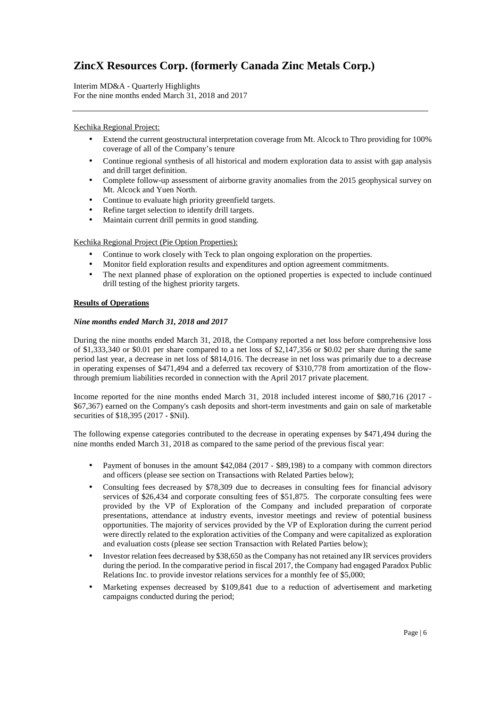Interim MD&A - Quarterly Highlights For the nine months ended March 31, 2018 and 2017

## Kechika Regional Project:

- Extend the current geostructural interpretation coverage from Mt. Alcock to Thro providing for 100% coverage of all of the Company's tenure
- Continue regional synthesis of all historical and modern exploration data to assist with gap analysis and drill target definition.
- Complete follow-up assessment of airborne gravity anomalies from the 2015 geophysical survey on Mt. Alcock and Yuen North.
- Continue to evaluate high priority greenfield targets.
- Refine target selection to identify drill targets.
- Maintain current drill permits in good standing.

Kechika Regional Project (Pie Option Properties):

- Continue to work closely with Teck to plan ongoing exploration on the properties.
- Monitor field exploration results and expenditures and option agreement commitments.
- The next planned phase of exploration on the optioned properties is expected to include continued drill testing of the highest priority targets.

### **Results of Operations**

### *Nine months ended March 31, 2018 and 2017*

During the nine months ended March 31, 2018, the Company reported a net loss before comprehensive loss of \$1,333,340 or \$0.01 per share compared to a net loss of \$2,147,356 or \$0.02 per share during the same period last year, a decrease in net loss of \$814,016. The decrease in net loss was primarily due to a decrease in operating expenses of \$471,494 and a deferred tax recovery of \$310,778 from amortization of the flowthrough premium liabilities recorded in connection with the April 2017 private placement.

Income reported for the nine months ended March 31, 2018 included interest income of \$80,716 (2017 - \$67,367) earned on the Company's cash deposits and short-term investments and gain on sale of marketable securities of \$18,395 (2017 - \$Nil).

The following expense categories contributed to the decrease in operating expenses by \$471,494 during the nine months ended March 31, 2018 as compared to the same period of the previous fiscal year:

- Payment of bonuses in the amount \$42,084 (2017 \$89,198) to a company with common directors and officers (please see section on Transactions with Related Parties below);
- Consulting fees decreased by \$78,309 due to decreases in consulting fees for financial advisory services of \$26,434 and corporate consulting fees of \$51,875. The corporate consulting fees were provided by the VP of Exploration of the Company and included preparation of corporate presentations, attendance at industry events, investor meetings and review of potential business opportunities. The majority of services provided by the VP of Exploration during the current period were directly related to the exploration activities of the Company and were capitalized as exploration and evaluation costs (please see section Transaction with Related Parties below);
- Investor relation fees decreased by \$38,650 as the Company has not retained any IR services providers during the period. In the comparative period in fiscal 2017, the Company had engaged Paradox Public Relations Inc. to provide investor relations services for a monthly fee of \$5,000;
- Marketing expenses decreased by \$109,841 due to a reduction of advertisement and marketing campaigns conducted during the period;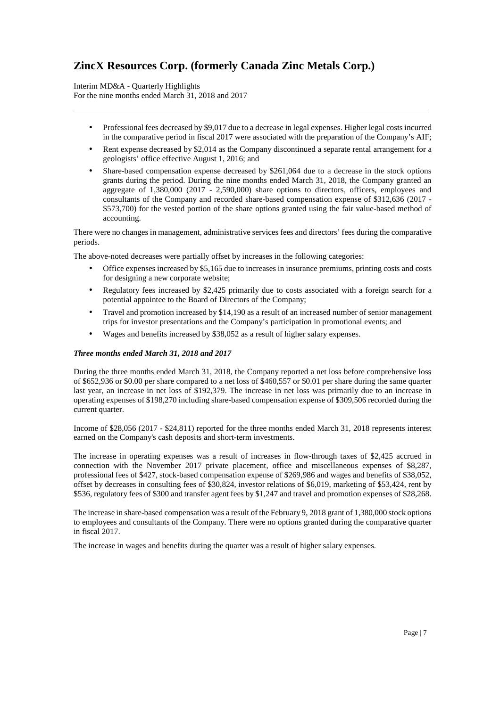Interim MD&A - Quarterly Highlights For the nine months ended March 31, 2018 and 2017

- Professional fees decreased by \$9,017 due to a decrease in legal expenses. Higher legal costs incurred in the comparative period in fiscal 2017 were associated with the preparation of the Company's AIF;
- Rent expense decreased by \$2,014 as the Company discontinued a separate rental arrangement for a geologists' office effective August 1, 2016; and
- Share-based compensation expense decreased by \$261,064 due to a decrease in the stock options grants during the period. During the nine months ended March 31, 2018, the Company granted an aggregate of 1,380,000 (2017 - 2,590,000) share options to directors, officers, employees and consultants of the Company and recorded share-based compensation expense of \$312,636 (2017 - \$573,700) for the vested portion of the share options granted using the fair value-based method of accounting.

There were no changes in management, administrative services fees and directors' fees during the comparative periods.

The above-noted decreases were partially offset by increases in the following categories:

- Office expenses increased by \$5,165 due to increases in insurance premiums, printing costs and costs for designing a new corporate website;
- Regulatory fees increased by \$2,425 primarily due to costs associated with a foreign search for a potential appointee to the Board of Directors of the Company;
- Travel and promotion increased by \$14,190 as a result of an increased number of senior management trips for investor presentations and the Company's participation in promotional events; and
- Wages and benefits increased by \$38,052 as a result of higher salary expenses.

#### *Three months ended March 31, 2018 and 2017*

During the three months ended March 31, 2018, the Company reported a net loss before comprehensive loss of \$652,936 or \$0.00 per share compared to a net loss of \$460,557 or \$0.01 per share during the same quarter last year, an increase in net loss of \$192,379. The increase in net loss was primarily due to an increase in operating expenses of \$198,270 including share-based compensation expense of \$309,506 recorded during the current quarter.

Income of \$28,056 (2017 - \$24,811) reported for the three months ended March 31, 2018 represents interest earned on the Company's cash deposits and short-term investments.

The increase in operating expenses was a result of increases in flow-through taxes of \$2,425 accrued in connection with the November 2017 private placement, office and miscellaneous expenses of \$8,287, professional fees of \$427, stock-based compensation expense of \$269,986 and wages and benefits of \$38,052, offset by decreases in consulting fees of \$30,824, investor relations of \$6,019, marketing of \$53,424, rent by \$536, regulatory fees of \$300 and transfer agent fees by \$1,247 and travel and promotion expenses of \$28,268.

The increase in share-based compensation was a result of the February 9, 2018 grant of 1,380,000 stock options to employees and consultants of the Company. There were no options granted during the comparative quarter in fiscal 2017.

The increase in wages and benefits during the quarter was a result of higher salary expenses.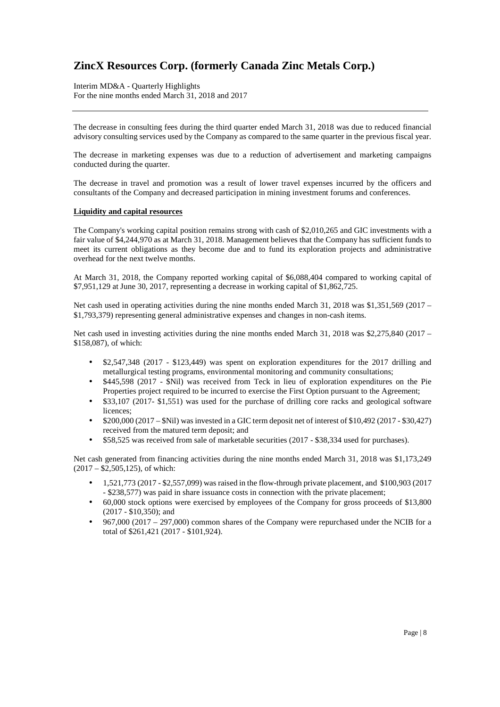Interim MD&A - Quarterly Highlights For the nine months ended March 31, 2018 and 2017

The decrease in consulting fees during the third quarter ended March 31, 2018 was due to reduced financial advisory consulting services used by the Company as compared to the same quarter in the previous fiscal year.

The decrease in marketing expenses was due to a reduction of advertisement and marketing campaigns conducted during the quarter.

The decrease in travel and promotion was a result of lower travel expenses incurred by the officers and consultants of the Company and decreased participation in mining investment forums and conferences.

#### **Liquidity and capital resources**

The Company's working capital position remains strong with cash of \$2,010,265 and GIC investments with a fair value of \$4,244,970 as at March 31, 2018. Management believes that the Company has sufficient funds to meet its current obligations as they become due and to fund its exploration projects and administrative overhead for the next twelve months.

At March 31, 2018, the Company reported working capital of \$6,088,404 compared to working capital of \$7,951,129 at June 30, 2017, representing a decrease in working capital of \$1,862,725.

Net cash used in operating activities during the nine months ended March 31, 2018 was \$1,351,569 (2017 – \$1,793,379) representing general administrative expenses and changes in non-cash items.

Net cash used in investing activities during the nine months ended March 31, 2018 was \$2,275,840 (2017 – \$158,087), of which:

- \$2,547,348 (2017 \$123,449) was spent on exploration expenditures for the 2017 drilling and metallurgical testing programs, environmental monitoring and community consultations;
- \$445,598 (2017 \$Nil) was received from Teck in lieu of exploration expenditures on the Pie Properties project required to be incurred to exercise the First Option pursuant to the Agreement;
- \$33,107 (2017- \$1,551) was used for the purchase of drilling core racks and geological software licences;
- \$200,000 (2017 \$Nil) was invested in a GIC term deposit net of interest of \$10,492 (2017 \$30,427) received from the matured term deposit; and
- \$58,525 was received from sale of marketable securities (2017 \$38,334 used for purchases).

Net cash generated from financing activities during the nine months ended March 31, 2018 was \$1,173,249  $(2017 - \overline{\$2,505,125})$ , of which:

- $1,521,773$  (2017 \$2,557,099) was raised in the flow-through private placement, and \$100,903 (2017) - \$238,577) was paid in share issuance costs in connection with the private placement;
- 60,000 stock options were exercised by employees of the Company for gross proceeds of \$13,800 (2017 - \$10,350); and
- 967,000 (2017 297,000) common shares of the Company were repurchased under the NCIB for a total of \$261,421 (2017 - \$101,924).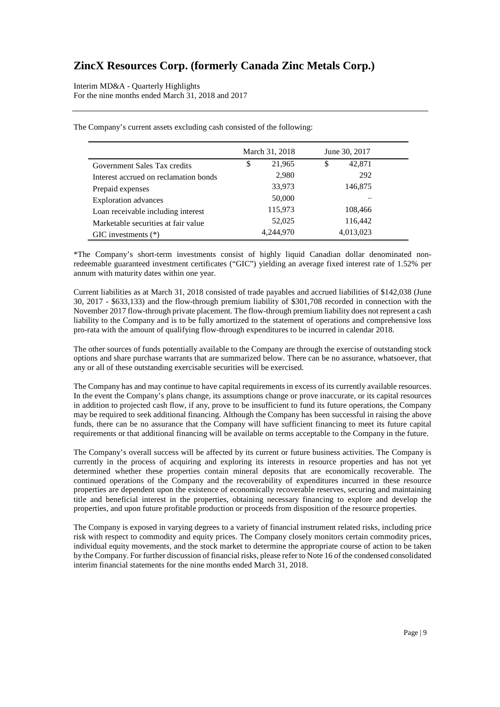Interim MD&A - Quarterly Highlights For the nine months ended March 31, 2018 and 2017

|                                       | March 31, 2018 | June 30, 2017 |
|---------------------------------------|----------------|---------------|
| Government Sales Tax credits          | \$<br>21,965   | \$<br>42,871  |
| Interest accrued on reclamation bonds | 2,980          | 292           |
| Prepaid expenses                      | 33,973         | 146,875       |
| <b>Exploration</b> advances           | 50,000         |               |
| Loan receivable including interest    | 115,973        | 108,466       |
| Marketable securities at fair value   | 52,025         | 116,442       |
| $GIC$ investments $(*)$               | 4,244,970      | 4,013,023     |

The Company's current assets excluding cash consisted of the following:

\*The Company's short-term investments consist of highly liquid Canadian dollar denominated nonredeemable guaranteed investment certificates ("GIC") yielding an average fixed interest rate of 1.52% per annum with maturity dates within one year.

Current liabilities as at March 31, 2018 consisted of trade payables and accrued liabilities of \$142,038 (June 30, 2017 - \$633,133) and the flow-through premium liability of \$301,708 recorded in connection with the November 2017 flow-through private placement. The flow-through premium liability does not represent a cash liability to the Company and is to be fully amortized to the statement of operations and comprehensive loss pro-rata with the amount of qualifying flow-through expenditures to be incurred in calendar 2018.

The other sources of funds potentially available to the Company are through the exercise of outstanding stock options and share purchase warrants that are summarized below. There can be no assurance, whatsoever, that any or all of these outstanding exercisable securities will be exercised.

The Company has and may continue to have capital requirements in excess of its currently available resources. In the event the Company's plans change, its assumptions change or prove inaccurate, or its capital resources in addition to projected cash flow, if any, prove to be insufficient to fund its future operations, the Company may be required to seek additional financing. Although the Company has been successful in raising the above funds, there can be no assurance that the Company will have sufficient financing to meet its future capital requirements or that additional financing will be available on terms acceptable to the Company in the future.

The Company's overall success will be affected by its current or future business activities. The Company is currently in the process of acquiring and exploring its interests in resource properties and has not yet determined whether these properties contain mineral deposits that are economically recoverable. The continued operations of the Company and the recoverability of expenditures incurred in these resource properties are dependent upon the existence of economically recoverable reserves, securing and maintaining title and beneficial interest in the properties, obtaining necessary financing to explore and develop the properties, and upon future profitable production or proceeds from disposition of the resource properties.

The Company is exposed in varying degrees to a variety of financial instrument related risks, including price risk with respect to commodity and equity prices. The Company closely monitors certain commodity prices, individual equity movements, and the stock market to determine the appropriate course of action to be taken by the Company. For further discussion of financial risks, please refer to Note 16 of the condensed consolidated interim financial statements for the nine months ended March 31, 2018.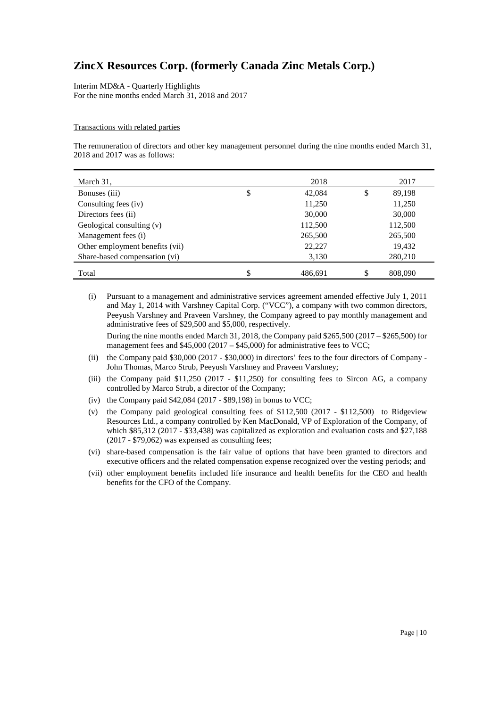Interim MD&A - Quarterly Highlights For the nine months ended March 31, 2018 and 2017

#### Transactions with related parties

The remuneration of directors and other key management personnel during the nine months ended March 31, 2018 and 2017 was as follows:

| March 31,                       |    | 2018    | 2017          |
|---------------------------------|----|---------|---------------|
| Bonuses (iii)                   | \$ | 42,084  | \$<br>89,198  |
| Consulting fees (iv)            |    | 11,250  | 11,250        |
| Directors fees (ii)             |    | 30,000  | 30,000        |
| Geological consulting (v)       |    | 112,500 | 112,500       |
| Management fees (i)             |    | 265,500 | 265,500       |
| Other employment benefits (vii) |    | 22,227  | 19,432        |
| Share-based compensation (vi)   |    | 3,130   | 280,210       |
| Total                           | \$ | 486.691 | \$<br>808,090 |

(i) Pursuant to a management and administrative services agreement amended effective July 1, 2011 and May 1, 2014 with Varshney Capital Corp. ("VCC"), a company with two common directors, Peeyush Varshney and Praveen Varshney, the Company agreed to pay monthly management and administrative fees of \$29,500 and \$5,000, respectively.

During the nine months ended March 31, 2018, the Company paid  $$265,500 (2017 - $265,500)$  for management fees and  $$45,000 (2017 - $45,000)$  for administrative fees to VCC;

- (ii) the Company paid \$30,000 (2017 \$30,000) in directors' fees to the four directors of Company John Thomas, Marco Strub, Peeyush Varshney and Praveen Varshney;
- (iii) the Company paid \$11,250 (2017 \$11,250) for consulting fees to Sircon AG, a company controlled by Marco Strub, a director of the Company;
- (iv) the Company paid \$42,084 (2017 \$89,198) in bonus to VCC;
- (v) the Company paid geological consulting fees of \$112,500 (2017 \$112,500) to Ridgeview Resources Ltd., a company controlled by Ken MacDonald, VP of Exploration of the Company, of which \$85,312 (2017 - \$33,438) was capitalized as exploration and evaluation costs and \$27,188 (2017 - \$79,062) was expensed as consulting fees;
- (vi) share-based compensation is the fair value of options that have been granted to directors and executive officers and the related compensation expense recognized over the vesting periods; and
- (vii) other employment benefits included life insurance and health benefits for the CEO and health benefits for the CFO of the Company.